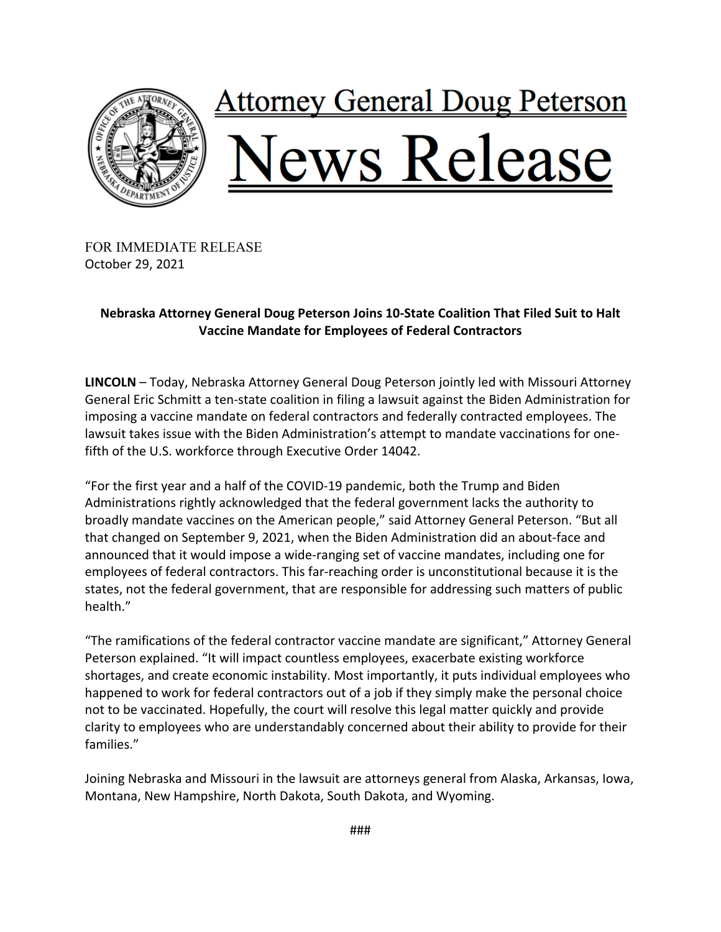

FOR IMMEDIATE RELEASE October 29, 2021

## **Nebraska Attorney General Doug Peterson Joins 10-State Coalition That Filed Suit to Halt Vaccine Mandate for Employees of Federal Contractors**

**LINCOLN** – Today, Nebraska Attorney General Doug Peterson jointly led with Missouri Attorney General Eric Schmitt a ten-state coalition in filing a lawsuit against the Biden Administration for imposing a vaccine mandate on federal contractors and federally contracted employees. The lawsuit takes issue with the Biden Administration's attempt to mandate vaccinations for onefifth of the U.S. workforce through Executive Order 14042.

"For the first year and a half of the COVID-19 pandemic, both the Trump and Biden Administrations rightly acknowledged that the federal government lacks the authority to broadly mandate vaccines on the American people," said Attorney General Peterson. "But all that changed on September 9, 2021, when the Biden Administration did an about-face and announced that it would impose a wide-ranging set of vaccine mandates, including one for employees of federal contractors. This far-reaching order is unconstitutional because it is the states, not the federal government, that are responsible for addressing such matters of public health."

"The ramifications of the federal contractor vaccine mandate are significant," Attorney General Peterson explained. "It will impact countless employees, exacerbate existing workforce shortages, and create economic instability. Most importantly, it puts individual employees who happened to work for federal contractors out of a job if they simply make the personal choice not to be vaccinated. Hopefully, the court will resolve this legal matter quickly and provide clarity to employees who are understandably concerned about their ability to provide for their families."

Joining Nebraska and Missouri in the lawsuit are attorneys general from Alaska, Arkansas, Iowa, Montana, New Hampshire, North Dakota, South Dakota, and Wyoming.